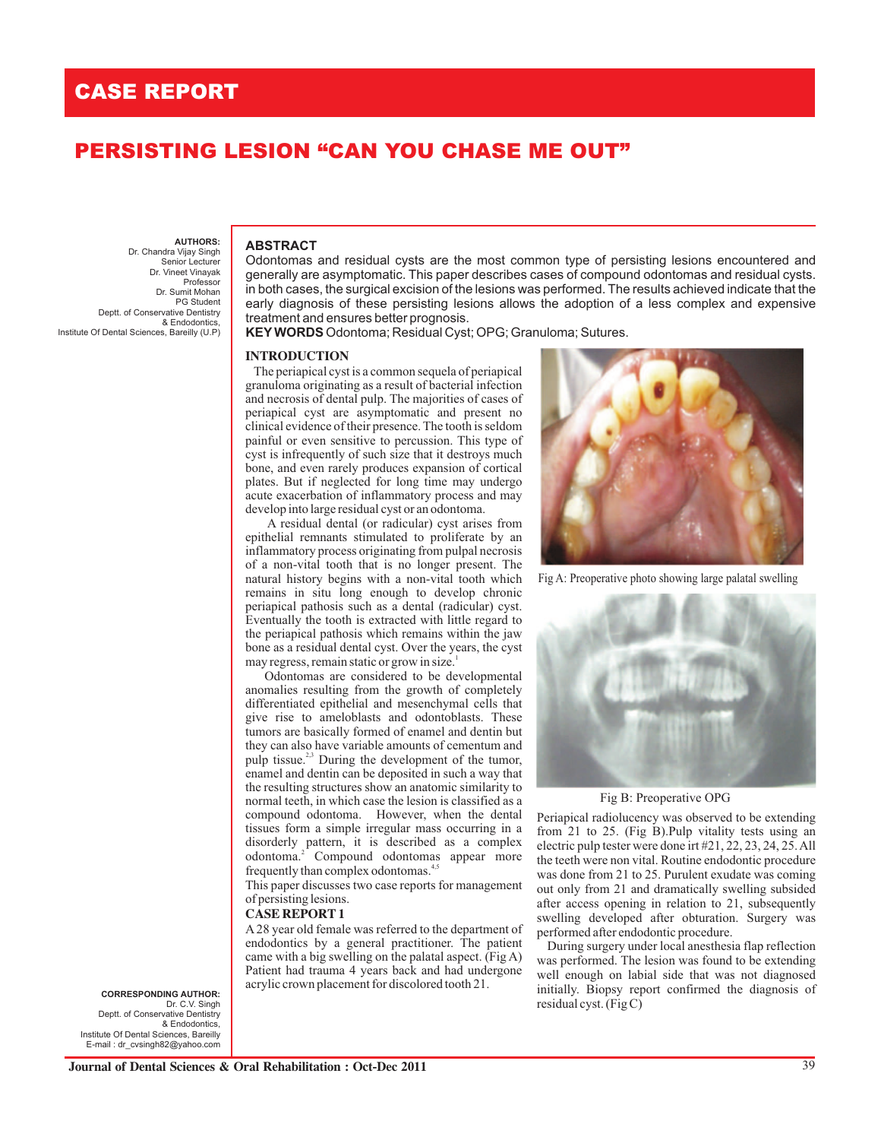Deptt. of Conservative Dentistry

Institute Of Dental Sciences, Bareilly (U.P)

**AUTHORS:**  Dr. Chandra Vijay Singh Senior Lecturer Dr. Vineet Vinayak Professor Dr. Sumit Mohan PG Student

& Endodontics,

# **PERSISTING LESION "CAN YOU CHASE ME OUT"**

## **ABSTRACT**

Odontomas and residual cysts are the most common type of persisting lesions encountered and generally are asymptomatic. This paper describes cases of compound odontomas and residual cysts. in both cases, the surgical excision of the lesions was performed. The results achieved indicate that the early diagnosis of these persisting lesions allows the adoption of a less complex and expensive treatment and ensures better prognosis.

**KEY WORDS** Odontoma; Residual Cyst; OPG; Granuloma; Sutures.

### **INTRODUCTION**

 The periapical cyst is a common sequela of periapical granuloma originating as a result of bacterial infection and necrosis of dental pulp. The majorities of cases of periapical cyst are asymptomatic and present no clinical evidence of their presence. The tooth is seldom painful or even sensitive to percussion. This type of cyst is infrequently of such size that it destroys much bone, and even rarely produces expansion of cortical plates. But if neglected for long time may undergo acute exacerbation of inflammatory process and may develop into large residual cyst or an odontoma.

 A residual dental (or radicular) cyst arises from epithelial remnants stimulated to proliferate by an inflammatory process originating from pulpal necrosis of a non-vital tooth that is no longer present. The natural history begins with a non-vital tooth which remains in situ long enough to develop chronic periapical pathosis such as a dental (radicular) cyst. Eventually the tooth is extracted with little regard to the periapical pathosis which remains within the jaw bone as a residual dental cyst. Over the years, the cyst may regress, remain static or grow in size.<sup>1</sup>

 Odontomas are considered to be developmental anomalies resulting from the growth of completely differentiated epithelial and mesenchymal cells that give rise to ameloblasts and odontoblasts. These tumors are basically formed of enamel and dentin but they can also have variable amounts of cementum and pulp tissue. $^{2,3}$  During the development of the tumor, enamel and dentin can be deposited in such a way that the resulting structures show an anatomic similarity to normal teeth, in which case the lesion is classified as a compound odontoma. However, when the dental tissues form a simple irregular mass occurring in a disorderly pattern, it is described as a complex odontoma.<sup>2</sup> Compound odontomas appear more frequently than complex odontomas.<sup>4,5</sup>

This paper discusses two case reports for management of persisting lesions.

## **CASE REPORT 1**

A 28 year old female was referred to the department of endodontics by a general practitioner. The patient came with a big swelling on the palatal aspect. (Fig A) Patient had trauma 4 years back and had undergone acrylic crown placement for discolored tooth 21.



Fig A: Preoperative photo showing large palatal swelling



Fig B: Preoperative OPG

Periapical radiolucency was observed to be extending from 21 to 25. (Fig B).Pulp vitality tests using an electric pulp tester were done irt #21, 22, 23, 24, 25. All the teeth were non vital. Routine endodontic procedure was done from 21 to 25. Purulent exudate was coming out only from 21 and dramatically swelling subsided after access opening in relation to 21, subsequently swelling developed after obturation. Surgery was performed after endodontic procedure.

 During surgery under local anesthesia flap reflection was performed. The lesion was found to be extending well enough on labial side that was not diagnosed initially. Biopsy report confirmed the diagnosis of residual cyst. (Fig C)

Deptt. of Conservative Dentistry & Endodontics, Institute Of Dental Sciences, Bareilly E-mail : dr\_cvsingh82@yahoo.com **CORRESPONDING AUTHOR:** Dr. C.V. Singh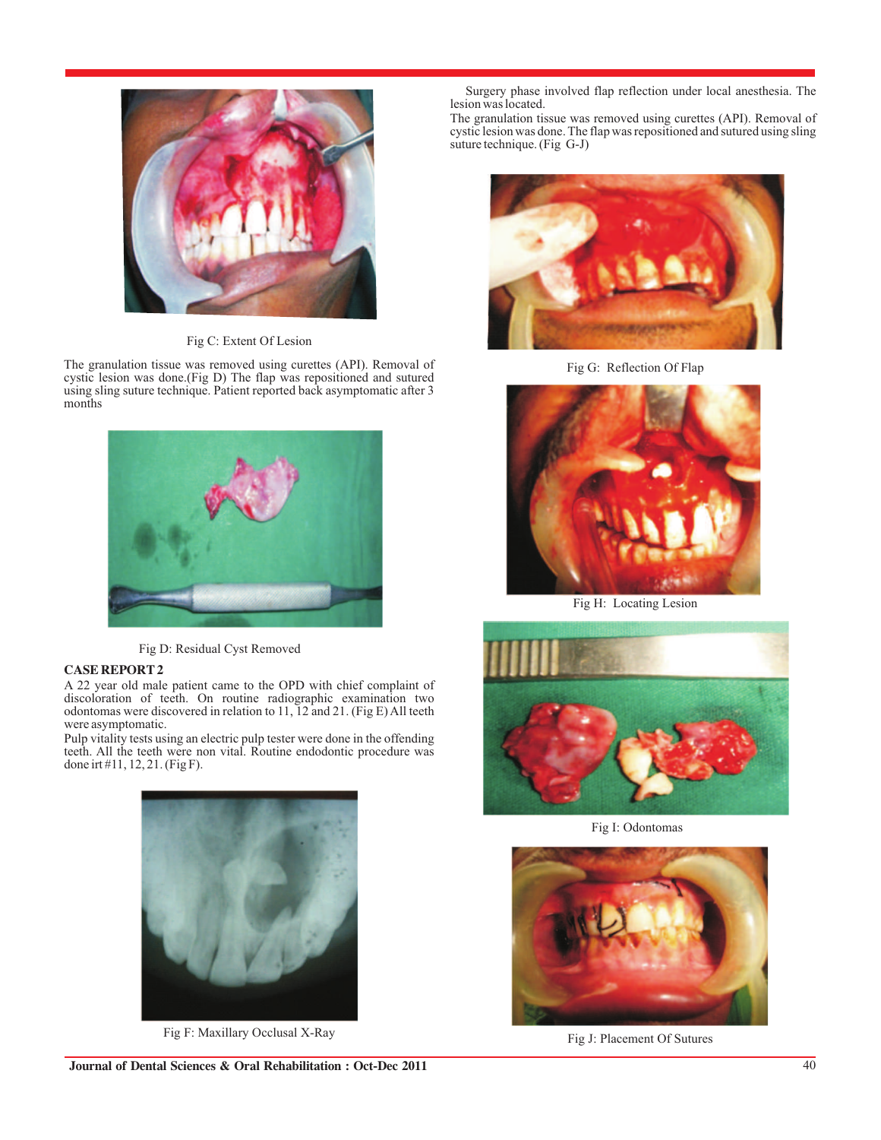

Fig C: Extent Of Lesion

The granulation tissue was removed using curettes (API). Removal of cystic lesion was done.(Fig D) The flap was repositioned and sutured using sling suture technique. Patient reported back asymptomatic after 3 months



Fig D: Residual Cyst Removed

## **CASE REPORT 2**

A 22 year old male patient came to the OPD with chief complaint of discoloration of teeth. On routine radiographic examination two odontomas were discovered in relation to 11, 12 and 21. (Fig E) All teeth were asymptomatic.

Pulp vitality tests using an electric pulp tester were done in the offending teeth. All the teeth were non vital. Routine endodontic procedure was done irt #11, 12, 21. (Fig F).



Fig F: Maxillary Occlusal X-Ray

 Surgery phase involved flap reflection under local anesthesia. The lesion was located.

The granulation tissue was removed using curettes (API). Removal of cystic lesion was done. The flap was repositioned and sutured using sling suture technique. (Fig G-J)



Fig G: Reflection Of Flap



Fig H: Locating Lesion



Fig I: Odontomas



Fig J: Placement Of Sutures